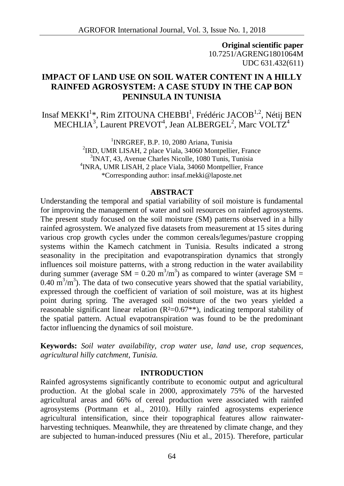**Original scientific paper** 10.7251/AGRENG1801064M UDC 631.432(611)

# **IMPACT OF LAND USE ON SOIL WATER CONTENT IN A HILLY RAINFED AGROSYSTEM: A CASE STUDY IN THE CAP BON PENINSULA IN TUNISIA**

Insaf MEKKI $^{1*}$ , Rim ZITOUNA CHEBBI $^{1}$ , Frédéric JACOB $^{1,2}$ , Nétij BEN MECHLIA<sup>3</sup>, Laurent PREVOT<sup>4</sup>, Jean ALBERGEL<sup>2</sup>, Marc VOLTZ<sup>4</sup>

> <sup>1</sup>INRGREF, B.P. 10, 2080 Ariana, Tunisia <sup>2</sup>IRD, UMR LISAH, 2 place Viala, 34060 Montpellier, France <sup>3</sup>INAT, 43, Avenue Charles Nicolle, 1080 Tunis, Tunisia <sup>4</sup>INRA, UMR LISAH, 2 place Viala, 34060 Montpellier, France \*Corresponding author: insaf.mekki@laposte.net

### **ABSTRACT**

Understanding the temporal and spatial variability of soil moisture is fundamental for improving the management of water and soil resources on rainfed agrosystems. The present study focused on the soil moisture (SM) patterns observed in a hilly rainfed agrosystem. We analyzed five datasets from measurement at 15 sites during various crop growth cycles under the common cereals/legumes/pasture cropping systems within the Kamech catchment in Tunisia. Results indicated a strong seasonality in the precipitation and evapotranspiration dynamics that strongly influences soil moisture patterns, with a strong reduction in the water availability during summer (average SM =  $0.20 \text{ m}^3/\text{m}^3$ ) as compared to winter (average SM = 0.40  $\text{m}^3/\text{m}^3$ ). The data of two consecutive years showed that the spatial variability, expressed through the coefficient of variation of soil moisture, was at its highest point during spring. The averaged soil moisture of the two years yielded a reasonable significant linear relation  $(R<sup>2</sup>=0.67**)$ , indicating temporal stability of the spatial pattern. Actual evapotranspiration was found to be the predominant factor influencing the dynamics of soil moisture.

**Keywords:** *Soil water availability, crop water use, land use, crop sequences, agricultural hilly catchment, Tunisia.*

#### **INTRODUCTION**

Rainfed agrosystems significantly contribute to economic output and agricultural production. At the global scale in 2000, approximately 75% of the harvested agricultural areas and 66% of cereal production were associated with rainfed agrosystems (Portmann et al., 2010). Hilly rainfed agrosystems experience agricultural intensification, since their topographical features allow rainwater harvesting techniques. Meanwhile, they are threatened by climate change, and they are subjected to human-induced pressures (Niu et al., 2015). Therefore, particular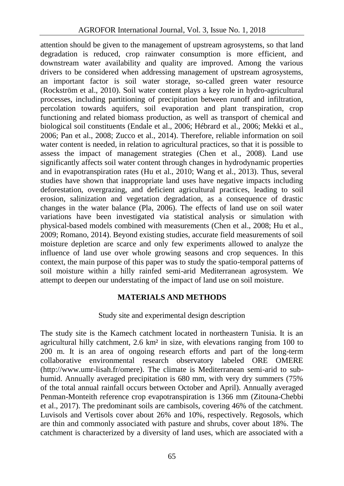attention should be given to the management of upstream agrosystems, so that land degradation is reduced, crop rainwater consumption is more efficient, and downstream water availability and quality are improved. Among the various drivers to be considered when addressing management of upstream agrosystems, an important factor is soil water storage, so-called green water resource (Rockström et al., 2010). Soil water content plays a key role in hydro-agricultural processes, including partitioning of precipitation between runoff and infiltration, percolation towards aquifers, soil evaporation and plant transpiration, crop functioning and related biomass production, as well as transport of chemical and biological soil constituents (Endale et al., 2006; Hébrard et al., 2006; Mekki et al., 2006; Pan et al., 2008; Zucco et al., 2014). Therefore, reliable information on soil water content is needed, in relation to agricultural practices, so that it is possible to assess the impact of management strategies (Chen et al., 2008). Land use significantly affects soil water content through changes in hydrodynamic properties and in evapotranspiration rates (Hu et al., 2010; Wang et al., 2013). Thus, several studies have shown that inappropriate land uses have negative impacts including deforestation, overgrazing, and deficient agricultural practices, leading to soil erosion, salinization and vegetation degradation, as a consequence of drastic changes in the water balance (Pla, 2006). The effects of land use on soil water variations have been investigated via statistical analysis or simulation with physical-based models combined with measurements (Chen et al., 2008; Hu et al., 2009; Romano, 2014). Beyond existing studies, accurate field measurements of soil moisture depletion are scarce and only few experiments allowed to analyze the influence of land use over whole growing seasons and crop sequences. In this context, the main purpose of this paper was to study the spatio-temporal patterns of soil moisture within a hilly rainfed semi-arid Mediterranean agrosystem. We attempt to deepen our understating of the impact of land use on soil moisture.

## **MATERIALS AND METHODS**

## Study site and experimental design description

The study site is the Kamech catchment located in northeastern Tunisia. It is an agricultural hilly catchment, 2.6 km² in size, with elevations ranging from 100 to 200 m. It is an area of ongoing research efforts and part of the long-term collaborative environmental research observatory labeled ORE OMERE (http://www.umr-lisah.fr/omere). The climate is Mediterranean semi-arid to sub humid. Annually averaged precipitation is 680 mm, with very dry summers (75% of the total annual rainfall occurs between October and April). Annually averaged Penman-Monteith reference crop evapotranspiration is 1366 mm (Zitouna-Chebbi et al., 2017). The predominant soils are cambisols, covering 46% of the catchment. Luvisols and Vertisols cover about 26% and 10%, respectively. Regosols, which are thin and commonly associated with pasture and shrubs, cover about 18%. The catchment is characterized by a diversity of land uses, which are associated with a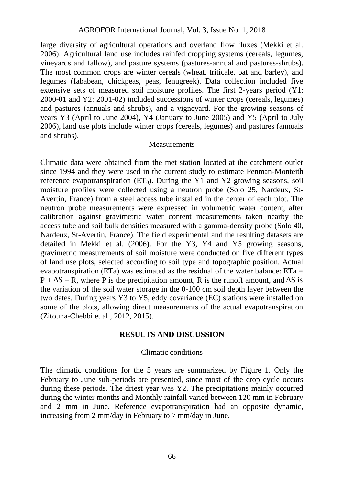large diversity of agricultural operations and overland flow fluxes (Mekki et al. 2006). Agricultural land use includes rainfed cropping systems (cereals, legumes, vineyards and fallow), and pasture systems (pastures-annual and pastures-shrubs). The most common crops are winter cereals (wheat, triticale, oat and barley), and legumes (fababean, chickpeas, peas, fenugreek). Data collection included five extensive sets of measured soil moisture profiles. The first 2-years period (Y1: 2000-01 and Y2: 2001-02) included successions of winter crops (cereals, legumes) and pastures (annuals and shrubs), and a vigneyard. For the growing seasons of years Y3 (April to June 2004), Y4 (January to June 2005) and Y5 (April to July 2006), land use plots include winter crops (cereals, legumes) and pastures (annuals and shrubs).

#### **Measurements**

Climatic data were obtained from the met station located at the catchment outlet since 1994 and they were used in the current study to estimate Penman-Monteith reference evapotranspiration  $(ET_0)$ . During the Y1 and Y2 growing seasons, soil moisture profiles were collected using a neutron probe (Solo 25, Nardeux, St- Avertin, France) from a steel access tube installed in the center of each plot. The neutron probe measurements were expressed in volumetric water content, after calibration against gravimetric water content measurements taken nearby the access tube and soil bulk densities measured with a gamma-density probe (Solo 40, Nardeux, St-Avertin, France). The field experimental and the resulting datasets are detailed in Mekki et al. (2006). For the Y3, Y4 and Y5 growing seasons, gravimetric measurements of soil moisture were conducted on five different types of land use plots, selected according to soil type and topographic position. Actual evapotranspiration (ETa) was estimated as the residual of the water balance:  $ETa =$  $P + S - R$ , where P is the precipitation amount, R is the runoff amount, and  $\overline{S}$  is the variation of the soil water storage in the 0-100 cm soil depth layer between the two dates. During years Y3 to Y5, eddy covariance (EC) stations were installed on some of the plots, allowing direct measurements of the actual evapotranspiration (Zitouna-Chebbi et al., 2012, 2015).

### **RESULTS AND DISCUSSION**

### Climatic conditions

The climatic conditions for the 5 years are summarized by Figure 1. Only the February to June sub-periods are presented, since most of the crop cycle occurs during these periods. The driest year was Y2. The precipitations mainly occurred during the winter months and Monthly rainfall varied between 120 mm in February and 2 mm in June. Reference evapotranspiration had an opposite dynamic, increasing from 2 mm/day in February to 7 mm/day in June.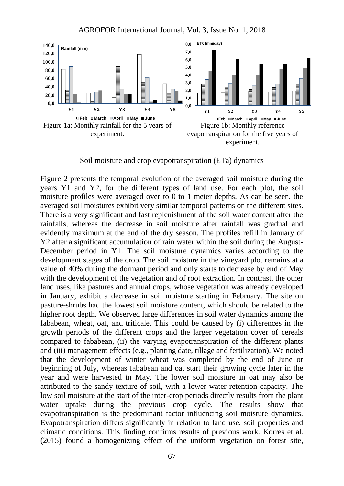

Soil moisture and crop evapotranspiration (ETa) dynamics

Figure 2 presents the temporal evolution of the averaged soil moisture during the years Y1 and Y2, for the different types of land use. For each plot, the soil moisture profiles were averaged over to 0 to 1 meter depths. As can be seen, the averaged soil moistures exhibit very similar temporal patterns on the different sites. There is a very significant and fast replenishment of the soil water content after the rainfalls, whereas the decrease in soil moisture after rainfall was gradual and evidently maximum at the end of the dry season. The profiles refill in January of Y2 after a significant accumulation of rain water within the soil during the August- December period in Y1. The soil moisture dynamics varies according to the development stages of the crop. The soil moisture in the vineyard plot remains at a value of 40% during the dormant period and only starts to decrease by end of May with the development of the vegetation and of root extraction. In contrast, the other land uses, like pastures and annual crops, whose vegetation was already developed in January, exhibit a decrease in soil moisture starting in February. The site on pasture-shrubs had the lowest soil moisture content, which should be related to the higher root depth. We observed large differences in soil water dynamics among the fababean, wheat, oat, and triticale. This could be caused by (i) differences in the growth periods of the different crops and the larger vegetation cover of cereals compared to fababean, (ii) the varying evapotranspiration of the different plants and (iii) management effects (e.g., planting date, tillage and fertilization). We noted that the development of winter wheat was completed by the end of June or beginning of July, whereas fababean and oat start their growing cycle later in the year and were harvested in May. The lower soil moisture in oat may also be attributed to the sandy texture of soil, with a lower water retention capacity. The low soil moisture at the start of the inter-crop periods directly results from the plant water uptake during the previous crop cycle. The results show that evapotranspiration is the predominant factor influencing soil moisture dynamics. Evapotranspiration differs significantly in relation to land use, soil properties and climatic conditions. This finding confirms results of previous work. Korres et al. (2015) found a homogenizing effect of the uniform vegetation on forest site,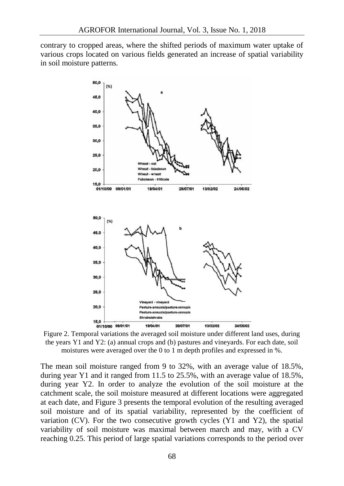contrary to cropped areas, where the shifted periods of maximum water uptake of various crops located on various fields generated an increase of spatial variability in soil moisture patterns.



Figure 2. Temporal variations the averaged soil moisture under different land uses, during the years Y1 and Y2: (a) annual crops and (b) pastures and vineyards. For each date, soil moistures were averaged over the 0 to 1 m depth profiles and expressed in %.

The mean soil moisture ranged from 9 to 32%, with an average value of 18.5%, during year Y1 and it ranged from 11.5 to 25.5%, with an average value of 18.5%, during year Y2. In order to analyze the evolution of the soil moisture at the catchment scale, the soil moisture measured at different locations were aggregated at each date, and Figure 3 presents the temporal evolution of the resulting averaged soil moisture and of its spatial variability, represented by the coefficient of variation (CV). For the two consecutive growth cycles (Y1 and Y2), the spatial variability of soil moisture was maximal between march and may, with a CV reaching 0.25. This period of large spatial variations corresponds to the period over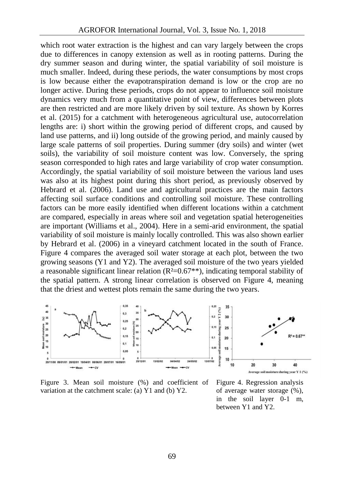which root water extraction is the highest and can vary largely between the crops due to differences in canopy extension as well as in rooting patterns. During the dry summer season and during winter, the spatial variability of soil moisture is much smaller. Indeed, during these periods, the water consumptions by most crops is low because either the evapotranspiration demand is low or the crop are no longer active. During these periods, crops do not appear to influence soil moisture dynamics very much from a quantitative point of view, differences between plots are then restricted and are more likely driven by soil texture. As shown by Korres et al. (2015) for a catchment with heterogeneous agricultural use, autocorrelation lengths are: i) short within the growing period of different crops, and caused by land use patterns, and ii) long outside of the growing period, and mainly caused by large scale patterns of soil properties. During summer (dry soils) and winter (wet soils), the variability of soil moisture content was low. Conversely, the spring season corresponded to high rates and large variability of crop water consumption. Accordingly, the spatial variability of soil moisture between the various land uses was also at its highest point during this short period, as previously observed by Hebrard et al. (2006). Land use and agricultural practices are the main factors affecting soil surface conditions and controlling soil moisture. These controlling factors can be more easily identified when different locations within a catchment are compared, especially in areas where soil and vegetation spatial heterogeneities are important (Williams et al., 2004). Here in a semi-arid environment, the spatial variability of soil moisture is mainly locally controlled. This was also shown earlier by Hebrard et al. (2006) in a vineyard catchment located in the south of France. Figure 4 compares the averaged soil water storage at each plot, between the two growing seasons (Y1 and Y2). The averaged soil moisture of the two years yielded a reasonable significant linear relation  $(R<sup>2</sup>=0.67**)$ , indicating temporal stability of the spatial pattern. A strong linear correlation is observed on Figure 4, meaning that the driest and wettest plots remain the same during the two years.



Figure 3. Mean soil moisture (%) and coefficient of variation at the catchment scale: (a) Y1 and (b) Y2.

Figure 4. Regression analysis of average water storage (%), in the soil layer 0-1 m, between Y1 and Y2.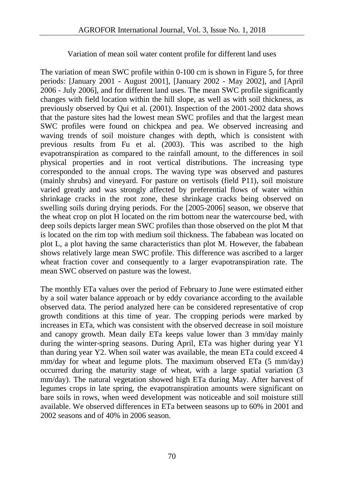# Variation of mean soil water content profile for different land uses

The variation of mean SWC profile within 0-100 cm is shown in Figure 5, for three periods: [January 2001 - August 2001], [January 2002 - May 2002], and [April 2006 - July 2006], and for different land uses. The mean SWC profile significantly changes with field location within the hill slope, as well as with soil thickness, as previously observed by Qui et al. (2001). Inspection of the 2001-2002 data shows that the pasture sites had the lowest mean SWC profiles and that the largest mean SWC profiles were found on chickpea and pea. We observed increasing and waving trends of soil moisture changes with depth, which is consistent with previous results from Fu et al. (2003). This was ascribed to the high evapotranspiration as compared to the rainfall amount, to the differences in soil physical properties and in root vertical distributions. The increasing type corresponded to the annual crops. The waving type was observed and pastures (mainly shrubs) and vineyard. For pasture on vertisols (field P11), soil moisture varied greatly and was strongly affected by preferential flows of water within shrinkage cracks in the root zone, these shrinkage cracks being observed on swelling soils during drying periods. For the [2005-2006] season, we observe that the wheat crop on plot H located on the rim bottom near the watercourse bed, with deep soils depicts larger mean SWC profiles than those observed on the plot M that is located on the rim top with medium soil thickness. The fababean was located on plot L, a plot having the same characteristics than plot M. However, the fababean shows relatively large mean SWC profile. This difference was ascribed to a larger wheat fraction cover and consequently to a larger evapotranspiration rate. The mean SWC observed on pasture was the lowest.

The monthly ETa values over the period of February to June were estimated either by a soil water balance approach or by eddy covariance according to the available observed data. The period analyzed here can be considered representative of crop growth conditions at this time of year. The cropping periods were marked by increases in ETa, which was consistent with the observed decrease in soil moisture and canopy growth. Mean daily ETa keeps value lower than 3 mm/day mainly during the winter-spring seasons. During April, ETa was higher during year Y1 than during year Y2. When soil water was available, the mean ETa could exceed 4 mm/day for wheat and legume plots. The maximum observed ETa (5 mm/day) occurred during the maturity stage of wheat, with a large spatial variation (3 mm/day). The natural vegetation showed high ETa during May. After harvest of legumes crops in late spring, the evapotranspiration amounts were significant on bare soils in rows, when weed development was noticeable and soil moisture still available. We observed differences in ETa between seasons up to 60% in 2001 and 2002 seasons and of 40% in 2006 season.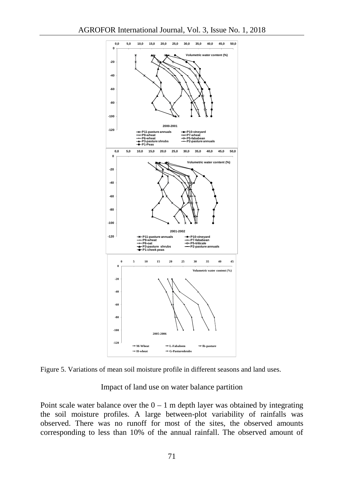

Figure 5. Variations of mean soil moisture profile in different seasons and land uses.

Impact of land use on water balance partition

Point scale water balance over the  $0 - 1$  m depth layer was obtained by integrating the soil moisture profiles. A large between-plot variability of rainfalls was observed. There was no runoff for most of the sites, the observed amounts corresponding to less than 10% of the annual rainfall. The observed amount of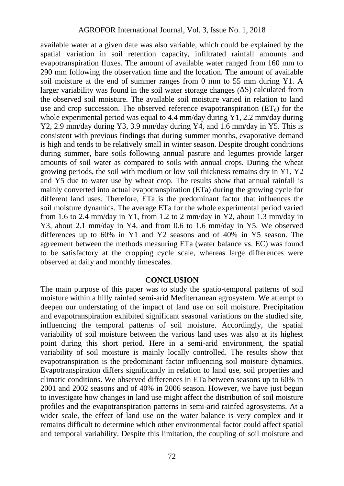available water at a given date was also variable, which could be explained by the spatial variation in soil retention capacity, infiltrated rainfall amounts and evapotranspiration fluxes. The amount of available water ranged from 160 mm to 290 mm following the observation time and the location. The amount of available soil moisture at the end of summer ranges from 0 mm to 55 mm during Y1. A larger variability was found in the soil water storage changes (∆S) calculated from the observed soil moisture. The available soil moisture varied in relation to land use and crop succession. The observed reference evapotranspiration  $(ET_0)$  for the whole experimental period was equal to 4.4 mm/day during Y1, 2.2 mm/day during Y2, 2.9 mm/day during Y3, 3.9 mm/day during Y4, and 1.6 mm/day in Y5. This is consistent with previous findings that during summer months, evaporative demand is high and tends to be relatively small in winter season. Despite drought conditions during summer, bare soils following annual pasture and legumes provide larger amounts of soil water as compared to soils with annual crops. During the wheat growing periods, the soil with medium or low soil thickness remains dry in Y1, Y2 and Y5 due to water use by wheat crop. The results show that annual rainfall is mainly converted into actual evapotranspiration (ETa) during the growing cycle for different land uses. Therefore, ETa is the predominant factor that influences the soil moisture dynamics. The average ETa for the whole experimental period varied from 1.6 to 2.4 mm/day in Y1, from 1.2 to 2 mm/day in Y2, about 1.3 mm/day in Y3, about 2.1 mm/day in Y4, and from 0.6 to 1.6 mm/day in Y5. We observed differences up to 60% in Y1 and Y2 seasons and of 40% in Y5 season. The agreement between the methods measuring ETa (water balance vs. EC) was found to be satisfactory at the cropping cycle scale, whereas large differences were observed at daily and monthly timescales.

### **CONCLUSION**

The main purpose of this paper was to study the spatio-temporal patterns of soil moisture within a hilly rainfed semi-arid Mediterranean agrosystem. We attempt to deepen our understating of the impact of land use on soil moisture. Precipitation and evapotranspiration exhibited significant seasonal variations on the studied site, influencing the temporal patterns of soil moisture. Accordingly, the spatial variability of soil moisture between the various land uses was also at its highest point during this short period. Here in a semi-arid environment, the spatial variability of soil moisture is mainly locally controlled. The results show that evapotranspiration is the predominant factor influencing soil moisture dynamics. Evapotranspiration differs significantly in relation to land use, soil properties and climatic conditions. We observed differences in ETa between seasons up to 60% in 2001 and 2002 seasons and of 40% in 2006 season. However, we have just begun to investigate how changes in land use might affect the distribution of soil moisture profiles and the evapotranspiration patterns in semi-arid rainfed agrosystems. At a wider scale, the effect of land use on the water balance is very complex and it remains difficult to determine which other environmental factor could affect spatial and temporal variability. Despite this limitation, the coupling of soil moisture and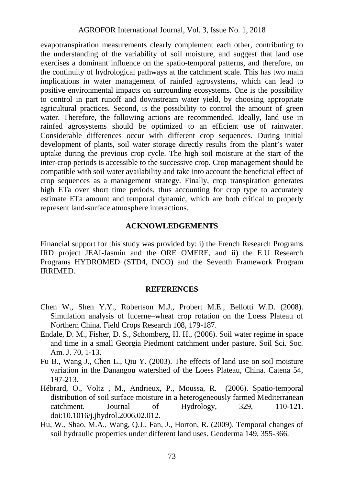evapotranspiration measurements clearly complement each other, contributing to the understanding of the variability of soil moisture, and suggest that land use exercises a dominant influence on the spatio-temporal patterns, and therefore, on the continuity of hydrological pathways at the catchment scale. This has two main implications in water management of rainfed agrosystems, which can lead to positive environmental impacts on surrounding ecosystems. One is the possibility to control in part runoff and downstream water yield, by choosing appropriate agricultural practices. Second, is the possibility to control the amount of green water. Therefore, the following actions are recommended. Ideally, land use in rainfed agrosystems should be optimized to an efficient use of rainwater. Considerable differences occur with different crop sequences. During initial development of plants, soil water storage directly results from the plant's water uptake during the previous crop cycle. The high soil moisture at the start of the inter-crop periods is accessible to the successive crop. Crop management should be compatible with soil water availability and take into account the beneficial effect of crop sequences as a management strategy. Finally, crop transpiration generates high ETa over short time periods, thus accounting for crop type to accurately estimate ETa amount and temporal dynamic, which are both critical to properly represent land-surface atmosphere interactions.

### **ACKNOWLEDGEMENTS**

Financial support for this study was provided by: i) the French Research Programs IRD project JEAI-Jasmin and the ORE OMERE, and ii) the E.U Research Programs HYDROMED (STD4, INCO) and the Seventh Framework Program IRRIMED.

## **REFERENCES**

- Chen W., Shen Y.Y., Robertson M.J., Probert M.E., Bellotti W.D. (2008). Simulation analysis of lucerne–wheat crop rotation on the Loess Plateau of Northern China. Field Crops Research 108, 179-187.
- Endale, D. M., Fisher, D. S., Schomberg, H. H., (2006). Soil water regime in space and time in a small Georgia Piedmont catchment under pasture. Soil Sci. Soc. Am. J. 70, 1-13.
- Fu B., Wang J., Chen L., Qiu Y. (2003). The effects of land use on soil moisture variation in the Danangou watershed of the Loess Plateau, China. Catena 54, 197-213.
- Hébrard, O., Voltz , M., Andrieux, P., Moussa, R. (2006). Spatio-temporal distribution of soil surface moisture in a heterogeneously farmed Mediterranean catchment. Journal of Hydrology, 329, 110-121. doi:10.1016/j.jhydrol.2006.02.012.
- Hu, W., Shao, M.A., Wang, Q.J., Fan, J., Horton, R. (2009). Temporal changes of soil hydraulic properties under different land uses. Geoderma 149, 355-366.